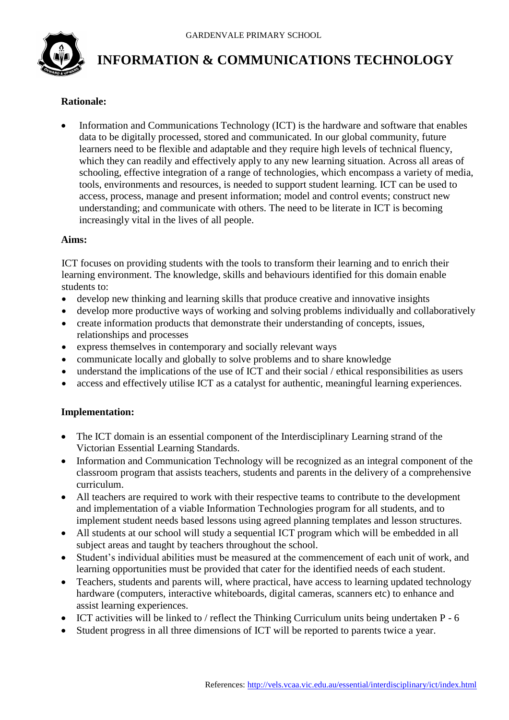

# **INFORMATION & COMMUNICATIONS TECHNOLOGY**

### **Rationale:**

 Information and Communications Technology (ICT) is the hardware and software that enables data to be digitally processed, stored and communicated. In our global community, future learners need to be flexible and adaptable and they require high levels of technical fluency, which they can readily and effectively apply to any new learning situation. Across all areas of schooling, effective integration of a range of technologies, which encompass a variety of media, tools, environments and resources, is needed to support student learning. ICT can be used to access, process, manage and present information; model and control events; construct new understanding; and communicate with others. The need to be literate in ICT is becoming increasingly vital in the lives of all people.

#### **Aims:**

ICT focuses on providing students with the tools to transform their learning and to enrich their learning environment. The knowledge, skills and behaviours identified for this domain enable students to:

- develop new thinking and learning skills that produce creative and innovative insights
- develop more productive ways of working and solving problems individually and collaboratively
- create information products that demonstrate their understanding of concepts, issues, relationships and processes
- express themselves in contemporary and socially relevant ways
- communicate locally and globally to solve problems and to share knowledge
- understand the implications of the use of ICT and their social / ethical responsibilities as users
- access and effectively utilise ICT as a catalyst for authentic, meaningful learning experiences.

#### **Implementation:**

- The ICT domain is an essential component of the Interdisciplinary Learning strand of the Victorian Essential Learning Standards.
- Information and Communication Technology will be recognized as an integral component of the classroom program that assists teachers, students and parents in the delivery of a comprehensive curriculum.
- All teachers are required to work with their respective teams to contribute to the development and implementation of a viable Information Technologies program for all students, and to implement student needs based lessons using agreed planning templates and lesson structures.
- All students at our school will study a sequential ICT program which will be embedded in all subject areas and taught by teachers throughout the school.
- Student's individual abilities must be measured at the commencement of each unit of work, and learning opportunities must be provided that cater for the identified needs of each student.
- Teachers, students and parents will, where practical, have access to learning updated technology hardware (computers, interactive whiteboards, digital cameras, scanners etc) to enhance and assist learning experiences.
- ICT activities will be linked to / reflect the Thinking Curriculum units being undertaken P 6
- Student progress in all three dimensions of ICT will be reported to parents twice a year.